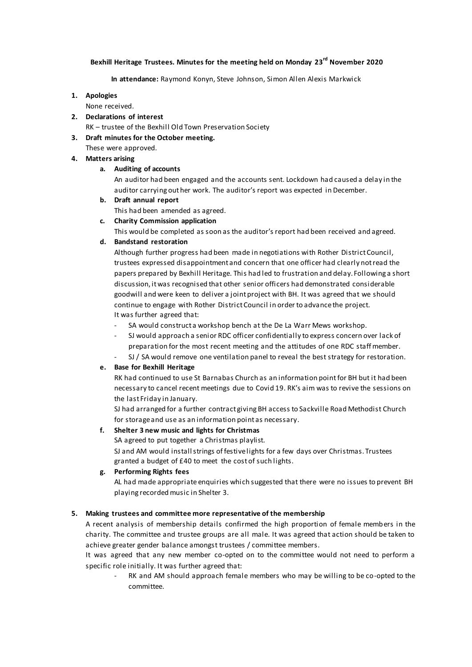# **Bexhill Heritage Trustees. Minutes for the meeting held on Monday 23rd November 2020**

#### **In attendance:** Raymond Konyn, Steve Johnson, Simon Allen Alexis Markwick

#### **1. Apologies**

None received.

**2. Declarations of interest**

RK – trustee of the Bexhill Old Town Preservation Society

- **3. Draft minutes for the October meeting.**
	- These were approved.

# **4. Matters arising**

# **a. Auditing of accounts**

An auditor had been engaged and the accounts sent. Lockdown had caused a delay in the auditor carrying out her work. The auditor's report was expected in December.

- **b. Draft annual report** This had been amended as agreed.
- **c. Charity Commission application**

This would be completed as soon as the auditor's report had been received and agreed.

# **d. Bandstand restoration**

Although further progress had been made in negotiations with Rother District Council, trustees expressed disappointment and concern that one officer had clearly not read the papers prepared by Bexhill Heritage. This had led to frustration and delay. Following a short discussion, it was recognised that other senior officers had demonstrated considerable goodwill and were keen to deliver a joint project with BH. It was agreed that we should continue to engage with Rother District Council in order to advance the project. It was further agreed that:

- SA would construct a workshop bench at the De La Warr Mews workshop.
- SJ would approach a senior RDC officer confidentially to express concern over lack of preparation for the most recent meeting and the attitudes of one RDC staff member.
- SJ / SA would remove one ventilation panel to reveal the best strategy for restoration.

# **e. Base for Bexhill Heritage**

RK had continued to use St Barnabas Church as an information point for BH but it had been necessary to cancel recent meetings due to Covid 19. RK's aim was to revive the sessions on the last Friday in January.

SJ had arranged for a further contract giving BH access to Sackville Road Methodist Church for storage and use as an information point as necessary.

# **f. Shelter 3 new music and lights for Christmas**

SA agreed to put together a Christmas playlist.

SJ and AM would install strings of festive lights for a few days over Christmas. Trustees granted a budget of £40 to meet the cost of such lights.

# **g. Performing Rights fees**

AL had made appropriate enquiries which suggested that there were no issues to prevent BH playing recorded music in Shelter 3.

# **5. Making trustees and committee more representative of the membership**

A recent analysis of membership details confirmed the high proportion of female members in the charity. The committee and trustee groups are all male. It was agreed that action should be taken to achieve greater gender balance amongst trustees / committee members.

It was agreed that any new member co-opted on to the committee would not need to perform a specific role initially. It was further agreed that:

RK and AM should approach female members who may be willing to be co-opted to the committee.